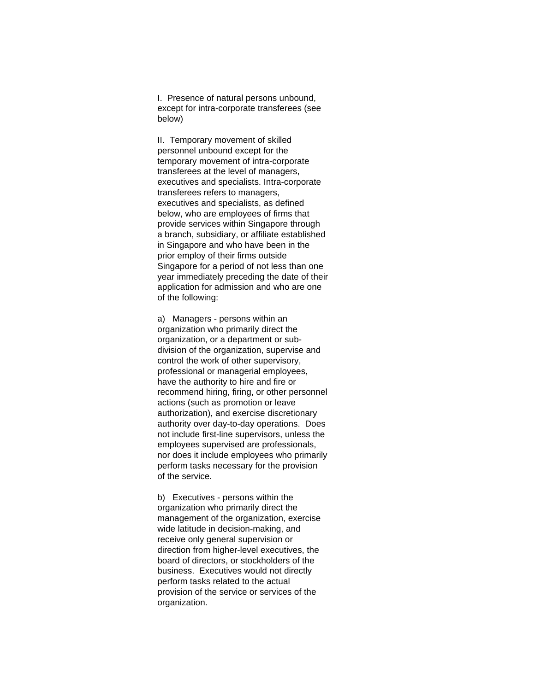I. Presence of natural persons unbound, except for intra-corporate transferees (see below)

II. Temporary movement of skilled personnel unbound except for the temporary movement of intra-corporate transferees at the level of managers, executives and specialists. Intra-corporate transferees refers to managers, executives and specialists, as defined below, who are employees of firms that provide services within Singapore through a branch, subsidiary, or affiliate established in Singapore and who have been in the prior employ of their firms outside Singapore for a period of not less than one year immediately preceding the date of their application for admission and who are one of the following:

a) Managers - persons within an organization who primarily direct the organization, or a department or subdivision of the organization, supervise and control the work of other supervisory, professional or managerial employees, have the authority to hire and fire or recommend hiring, firing, or other personnel actions (such as promotion or leave authorization), and exercise discretionary authority over day-to-day operations. Does not include first-line supervisors, unless the employees supervised are professionals, nor does it include employees who primarily perform tasks necessary for the provision of the service.

b) Executives - persons within the organization who primarily direct the management of the organization, exercise wide latitude in decision-making, and receive only general supervision or direction from higher-level executives, the board of directors, or stockholders of the business. Executives would not directly perform tasks related to the actual provision of the service or services of the organization.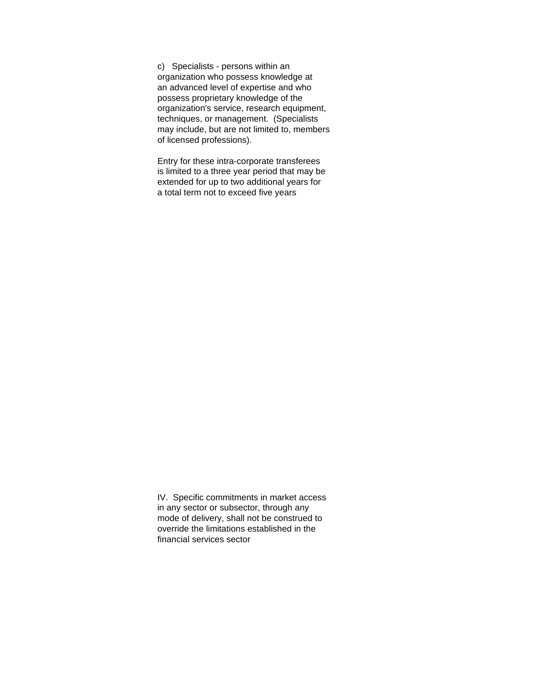c) Specialists - persons within an organization who possess knowledge at an advanced level of expertise and who possess proprietary knowledge of the organization's service, research equipment, techniques, or management. (Specialists may include, but are not limited to, members of licensed professions).

Entry for these intra-corporate transferees is limited to a three year period that may be extended for up to two additional years for a total term not to exceed five years

IV. Specific commitments in market access in any sector or subsector, through any mode of delivery, shall not be construed to override the limitations established in the financial services sector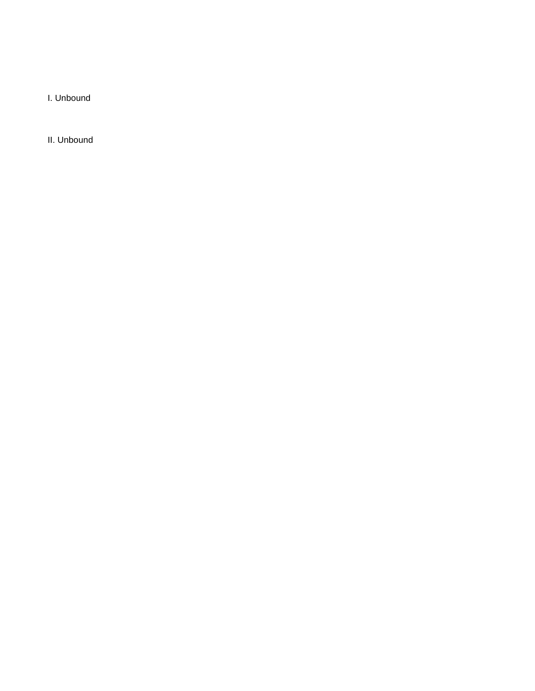I. Unbound

II. Unbound